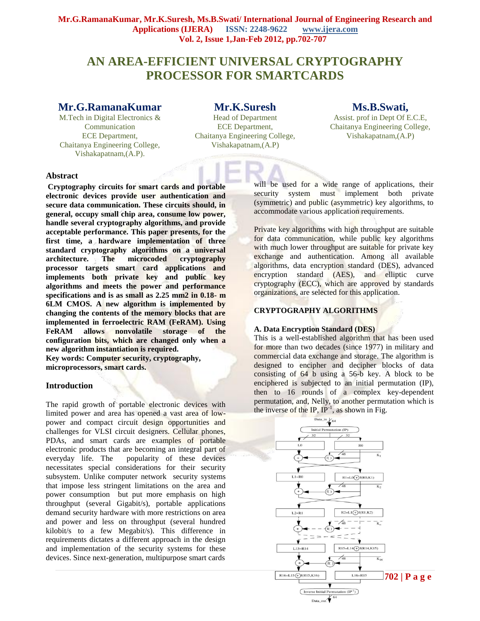# **AN AREA-EFFICIENT UNIVERSAL CRYPTOGRAPHY PROCESSOR FOR SMARTCARDS**

## **Mr.G.RamanaKumar**

M.Tech in Digital Electronics & Communication ECE Department, Chaitanya Engineering College, Vishakapatnam,(A.P).

**Mr.K.Suresh** Head of Department ECE Department, Chaitanya Engineering College, Vishakapatnam,(A.P)

## **Ms.B.Swati,**

Assist. prof in Dept Of E.C.E, Chaitanya Engineering College, Vishakapatnam,(A.P)

## **Abstract**

**Cryptography circuits for smart cards and portable electronic devices provide user authentication and secure data communication. These circuits should, in general, occupy small chip area, consume low power, handle several cryptography algorithms, and provide acceptable performance. This paper presents, for the first time, a hardware implementation of three standard cryptography algorithms on a universal architecture. The microcoded cryptography processor targets smart card applications and implements both private key and public key algorithms and meets the power and performance specifications and is as small as 2.25 mm2 in 0.18- m 6LM CMOS. A new algorithm is implemented by changing the contents of the memory blocks that are implemented in ferroelectric RAM (FeRAM). Using FeRAM allows nonvolatile storage of the configuration bits, which are changed only when a new algorithm instantiation is required.**

**Key words: Computer security, cryptography, microprocessors, smart cards.**

## **Introduction**

The rapid growth of portable electronic devices with limited power and area has opened a vast area of lowpower and compact circuit design opportunities and challenges for VLSI circuit designers. Cellular phones, PDAs, and smart cards are examples of portable electronic products that are becoming an integral part of everyday life. The popularity of these devices necessitates special considerations for their security subsystem. Unlike computer network security systems that impose less stringent limitations on the area and power consumption but put more emphasis on high throughput (several Gigabit/s), portable applications demand security hardware with more restrictions on area and power and less on throughput (several hundred kilobit/s to a few Megabit/s). This difference in requirements dictates a different approach in the design and implementation of the security systems for these devices. Since next-generation, multipurpose smart cards

will be used for a wide range of applications, their security system must implement both private (symmetric) and public (asymmetric) key algorithms, to accommodate various application requirements.

Private key algorithms with high throughput are suitable for data communication, while public key algorithms with much lower throughput are suitable for private key exchange and authentication. Among all available algorithms, data encryption standard (DES), advanced encryption standard (AES), and elliptic curve cryptography (ECC), which are approved by standards organizations, are selected for this application.

## **CRYPTOGRAPHY ALGORITHMS**

#### **A. Data Encryption Standard (DES)**

This is a well-established algorithm that has been used for more than two decades (since 1977) in military and commercial data exchange and storage. The algorithm is designed to encipher and decipher blocks of data consisting of 64 b using a 56-b key. A block to be enciphered is subjected to an initial permutation (IP), then to 16 rounds of a complex key-dependent permutation, and, Nelly, to another permutation which is the inverse of the IP,  $IP^{-1}$ , as shown in Fig.

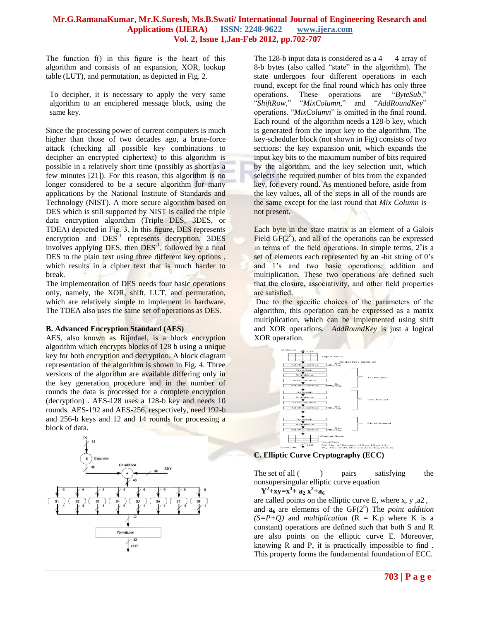The function f() in this figure is the heart of this algorithm and consists of an expansion, XOR, lookup table (LUT), and permutation, as depicted in Fig. 2.

To decipher, it is necessary to apply the very same algorithm to an enciphered message block, using the same key.

Since the processing power of current computers is much higher than those of two decades ago, a brute-force attack (checking all possible key combinations to decipher an encrypted ciphertext) to this algorithm is possible in a relatively short time (possibly as short as a few minutes [21]). For this reason, this algorithm is no longer considered to be a secure algorithm for many applications by the National Institute of Standards and Technology (NIST). A more secure algorithm based on DES which is still supported by NIST is called the triple data encryption algorithm (Triple DES, 3DES, or TDEA) depicted in Fig. 3. In this figure, DES represents encryption and DES<sup>-1</sup> represents decryption. 3DES involves applying DES, then DES<sup>-1</sup>, followed by a final DES to the plain text using three different key options , which results in a cipher text that is much harder to break.

The implementation of DES needs four basic operations only, namely, the XOR, shift, LUT, and permutation, which are relatively simple to implement in hardware. The TDEA also uses the same set of operations as DES.

#### **B. Advanced Encryption Standard (AES)**

AES, also known as Rijndael, is a block encryption algorithm which encrypts blocks of 128 b using a unique key for both encryption and decryption. A block diagram representation of the algorithm is shown in Fig. 4. Three versions of the algorithm are available differing only in the key generation procedure and in the number of rounds the data is processed for a complete encryption (decryption) . AES-128 uses a 128-b key and needs 10 rounds. AES-192 and AES-256, respectively, need 192-b and 256-b keys and 12 and 14 rounds for processing a block of data.



The 128-b input data is considered as  $a^4$  4 array of 8-b bytes (also called "state" in the algorithm). The state undergoes four different operations in each round, except for the final round which has only three operations. These operations are "ByteSub," "ShiftRow," "MixColumn," and "AddRoundKey" operations. "*MixColumn*" is omitted in the final round. Each round of the algorithm needs a 128-b key, which is generated from the input key to the algorithm. The key-scheduler block (not shown in Fig) consists of two sections: the key expansion unit, which expands the input key bits to the maximum number of bits required by the algorithm, and the key selection unit, which selects the required number of bits from the expanded key, for every round. As mentioned before, aside from the key values, all of the steps in all of the rounds are the same except for the last round that *Mix Column* is not present.

Each byte in the state matrix is an element of a Galois Field  $GF(2^8)$ , and all of the operations can be expressed in terms of the field operations. In simple terms,  $2<sup>n</sup>$  is a set of elements each represented by an -bit string of 0's and 1's and two basic operations: addition and multiplication. These two operations are defined such that the closure, associativity, and other field properties are satisfied.

Due to the specific choices of the parameters of the algorithm, this operation can be expressed as a matrix multiplication, which can be implemented using shift and XOR operations. *AddRoundKey* is just a logical XOR operation.



## **C. Elliptic Curve Cryptography (ECC)**

The set of all ( ) pairs satisfying the nonsupersingular elliptic curve equation

$$
Y^2 + xy = x^3 + a_2 x^2 + a_6
$$

are called points on the elliptic curve E, where x, y ,a2 , and  $a_6$  are elements of the  $GF(2^n)$  The *point addition*  $(S=P+Q)$  and *multiplication*  $(R = K.p$  where K is a constant) operations are defined such that both S and R are also points on the elliptic curve E. Moreover, knowing R and P, it is practically impossible to find . This property forms the fundamental foundation of ECC.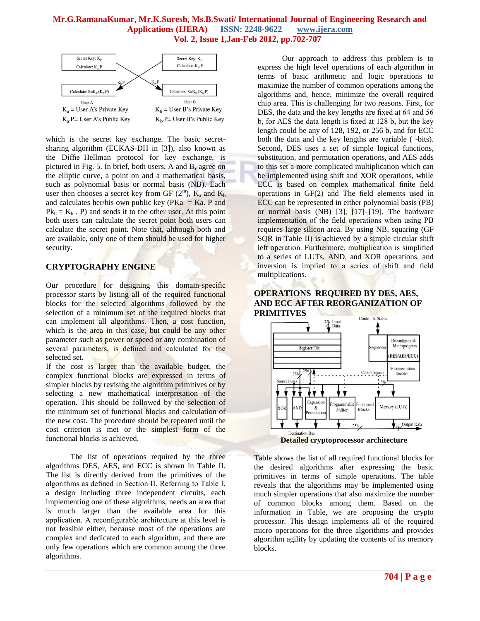

which is the secret key exchange. The basic secretsharing algorithm (ECKAS-DH in [3]), also known as the Diffie–Hellman protocol for key exchange, is pictured in Fig. 5. In brief, both users, A and B, agree on the elliptic curve, a point on and a mathematical basis, such as polynomial basis or normal basis (NB). Each user then chooses a secret key from GF  $(2^m)$ ,  $K_a$  and  $K_b$ and calculates her/his own public key ( $PKa = Ka$ . P and  $Pk_b = K_b$ . P) and sends it to the other user. At this point both users can calculate the secret point both users can calculate the secret point. Note that, although both and are available, only one of them should be used for higher security.

## **CRYPTOGRAPHY ENGINE**

Our procedure for designing this domain-specific processor starts by listing all of the required functional blocks for the selected algorithms followed by the selection of a minimum set of the required blocks that can implement all algorithms. Then, a cost function, which is the area in this case, but could be any other parameter such as power or speed or any combination of several parameters, is defined and calculated for the selected set.

If the cost is larger than the available budget, the complex functional blocks are expressed in terms of simpler blocks by revising the algorithm primitives or by selecting a new mathematical interpretation of the operation. This should be followed by the selection of the minimum set of functional blocks and calculation of the new cost. The procedure should be repeated until the cost criterion is met or the simplest form of the functional blocks is achieved.

The list of operations required by the three algorithms DES, AES, and ECC is shown in Table II. The list is directly derived from the primitives of the algorithms as defined in Section II. Referring to Table I, a design including three independent circuits, each implementing one of these algorithms, needs an area that is much larger than the available area for this application. A reconfigurable architecture at this level is not feasible either, because most of the operations are complex and dedicated to each algorithm, and there are only few operations which are common among the three algorithms.

Our approach to address this problem is to express the high level operations of each algorithm in terms of basic arithmetic and logic operations to maximize the number of common operations among the algorithms and, hence, minimize the overall required chip area. This is challenging for two reasons. First, for DES, the data and the key lengths are fixed at 64 and 56 b, for AES the data length is fixed at 128 b, but the key length could be any of 128, 192, or 256 b, and for ECC both the data and the key lengths are variable ( -bits). Second, DES uses a set of simple logical functions, substitution, and permutation operations, and AES adds to this set a more complicated multiplication which can be implemented using shift and XOR operations, while ECC is based on complex mathematical finite field operations in GF(2) and The field elements used in ECC can be represented in either polynomial basis (PB) or normal basis (NB) [3], [17]–[19]. The hardware implementation of the field operations when using PB requires large silicon area. By using NB, squaring (GF  $SQR$  in Table II) is achieved by a simple circular shift left operation. Furthermore, multiplication is simplified to a series of LUTs, AND, and XOR operations, and inversion is implied to a series of shift and field multiplications.

## **OPERATIONS REQUIRED BY DES, AES, AND ECC AFTER REORGANIZATION OF PRIMITIVES**



Table shows the list of all required functional blocks for the desired algorithms after expressing the basic primitives in terms of simple operations. The table reveals that the algorithms may be implemented using much simpler operations that also maximize the number of common blocks among them. Based on the information in Table, we are proposing the crypto processor. This design implements all of the required micro operations for the three algorithms and provides algorithm agility by updating the contents of its memory blocks.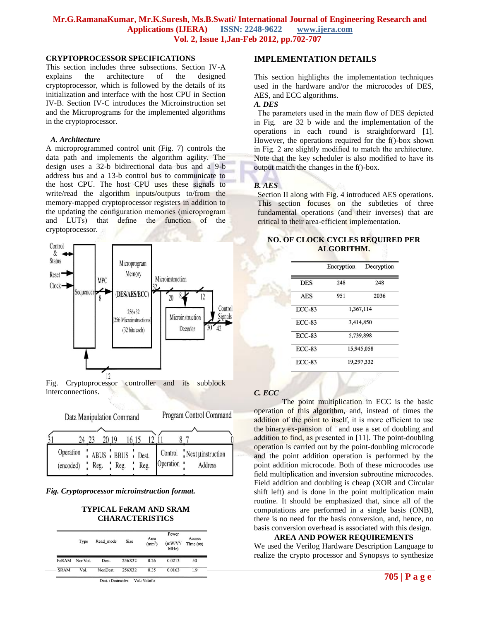#### **CRYPTOPROCESSOR SPECIFICATIONS**

This section includes three subsections. Section IV-A explains the architecture of the designed cryptoprocessor, which is followed by the details of its initialization and interface with the host CPU in Section IV-B. Section IV-C introduces the Microinstruction set and the Microprograms for the implemented algorithms in the cryptoprocessor.

#### *A. Architecture*

A microprogrammed control unit (Fig. 7) controls the data path and implements the algorithm agility. The design uses a 32-b bidirectional data bus and a 9-b address bus and a 13-b control bus to communicate to the host CPU. The host CPU uses these signals to write/read the algorithm inputs/outputs to/from the memory-mapped cryptoprocessor registers in addition to the updating the configuration memories (microprogram and LUTs) that define the function of the cryptoprocessor.



Fig. Cryptoprocessor controller and its subblock interconnections.

#### Data Manipulation Command

Program Control Command

|                          | 20 19 | 16 15 |             |                                                     |
|--------------------------|-------|-------|-------------|-----------------------------------------------------|
|                          |       |       |             | Operation ABUS BBUS Dest. Control Next µinstruction |
| (encoded) Reg. Reg. Reg. |       |       | Operation ! | Address                                             |

*Fig. Cryptoprocessor microinstruction format.*

#### **TYPICAL FeRAM AND SRAM CHARACTERISTICS**

|             | Type    | Read mode | Size   | Area<br>(mm <sup>2</sup> ) | Power<br>$(mW/V^2)$<br>MHz) | Access<br>Time (ns) |
|-------------|---------|-----------|--------|----------------------------|-----------------------------|---------------------|
| FeRAM       | NonVol. | Dest.     | 256X32 | 0.26                       | 0.0213                      | 50                  |
| <b>SRAM</b> | Vol.    | NonDest.  | 256X32 | 0.35                       | 0.0163                      | 1.9                 |

#### **IMPLEMENTATION DETAILS**

This section highlights the implementation techniques used in the hardware and/or the microcodes of DES, AES, and ECC algorithms.

## *A. DES*

The parameters used in the main flow of DES depicted in Fig. are 32 b wide and the implementation of the operations in each round is straightforward [1]. However, the operations required for the f()-box shown in Fig. 2 are slightly modified to match the architecture. Note that the key scheduler is also modified to have its output match the changes in the f()-box.

#### *B. AES*

Section II along with Fig. 4 introduced AES operations. This section focuses on the subtleties of three fundamental operations (and their inverses) that are critical to their area-efficient implementation.

## **NO. OF CLOCK CYCLES REQUIRED PER ALGORITHM.**

|               | Encryption | Decryption |  |  |  |
|---------------|------------|------------|--|--|--|
| <b>DES</b>    | 248        | 248        |  |  |  |
| <b>AES</b>    | 951        | 2036       |  |  |  |
| $ECC-83$      |            | 1,367,114  |  |  |  |
| $ECC-83$      | 3,414,850  |            |  |  |  |
| <b>ECC-83</b> | 5,739,898  |            |  |  |  |
| $ECC-83$      | 15,945,058 |            |  |  |  |
| $ECC-83$      |            | 19,297,332 |  |  |  |

## *C. ECC*

The point multiplication in ECC is the basic operation of this algorithm, and, instead of times the addition of the point to itself, it is more efficient to use the binary ex-pansion of and use a set of doubling and addition to find, as presented in [11]. The point-doubling operation is carried out by the point-doubling microcode and the point addition operation is performed by the point addition microcode. Both of these microcodes use field multiplication and inversion subroutine microcodes. Field addition and doubling is cheap (XOR and Circular shift left) and is done in the point multiplication main routine. It should be emphasized that, since all of the computations are performed in a single basis (ONB), there is no need for the basis conversion, and, hence, no basis conversion overhead is associated with this design.

#### **AREA AND POWER REQUIREMENTS**

We used the Verilog Hardware Description Language to realize the crypto processor and Synopsys to synthesize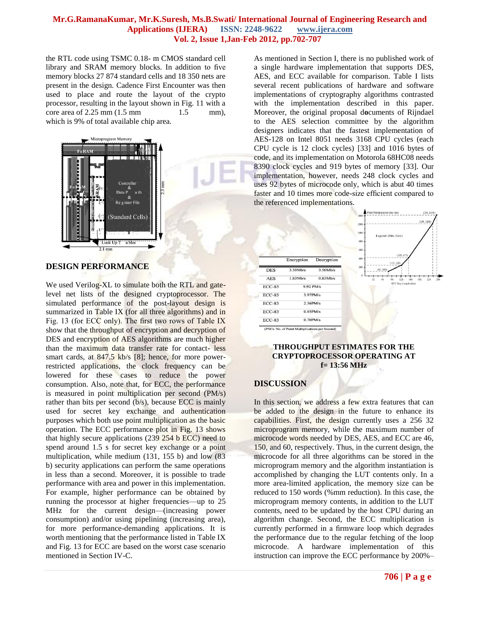the RTL code using TSMC 0.18- m CMOS standard cell library and SRAM memory blocks. In addition to five memory blocks 27 874 standard cells and 18 350 nets are present in the design. Cadence First Encounter was then used to place and route the layout of the crypto processor, resulting in the layout shown in Fig. 11 with a  $core area of 2.25 mm (1.5 mm)$  1.5 mm), which is 9% of total available chip area.



**DESIGN PERFORMANCE**

We used Verilog-XL to simulate both the RTL and gatelevel net lists of the designed cryptoprocessor. The simulated performance of the post-layout design is summarized in Table IX (for all three algorithms) and in Fig. 13 (for ECC only). The first two rows of Table IX show that the throughput of encryption and decryption of DES and encryption of AES algorithms are much higher than the maximum data transfer rate for contact- less smart cards, at 847.5 kb/s [8]; hence, for more powerrestricted applications, the clock frequency can be lowered for these cases to reduce the power consumption. Also, note that, for ECC, the performance is measured in point multiplication per second (PM/s) rather than bits per second (b/s), because ECC is mainly used for secret key exchange and authentication purposes which both use point multiplication as the basic operation. The ECC performance plot in Fig. 13 shows that highly secure applications (239 254 b ECC) need to spend around 1.5 s for secret key exchange or a point multiplication, while medium (131, 155 b) and low (83 b) security applications can perform the same operations in less than a second. Moreover, it is possible to trade performance with area and power in this implementation. For example, higher performance can be obtained by running the processor at higher frequencies—up to 25 MHz for the current design—(increasing power consumption) and/or using pipelining (increasing area), for more performance-demanding applications. It is worth mentioning that the performance listed in Table IX and Fig. 13 for ECC are based on the worst case scenario mentioned in Section IV-C.

As mentioned in Section I, there is no published work of a single hardware implementation that supports DES, AES, and ECC available for comparison. Table I lists several recent publications of hardware and software implementations of cryptography algorithms contrasted with the implementation described in this paper. Moreover, the original proposal d**o**cuments of Rijndael to the AES selection committee by the algorithm designers indicates that the fastest implementation of AES-128 on Intel 8051 needs 3168 CPU cycles (each CPU cycle is 12 clock cycles) [33] and 1016 bytes of code, and its implementation on Motorola 68HC08 needs 8390 clock cycles and 919 bytes of memory [33]. Our implementation, however, needs 248 clock cycles and uses 92 bytes of microcode only, which is abut 40 times faster and 10 times more code-size efficient compared to the referenced implementations.



## **THROUGHPUT ESTIMATES FOR THE CRYPTOPROCESSOR OPERATING AT f= 13:56 MHz**

## **DISCUSSION**

In this section, we address a few extra features that can be added to the design in the future to enhance its capabilities. First, the design currently uses a 256 32 microprogram memory, while the maximum number of microcode words needed by DES, AES, and ECC are 46, 150, and 60, respectively. Thus, in the current design, the microcode for all three algorithms can be stored in the microprogram memory and the algorithm instantiation is accomplished by changing the LUT contents only. In a more area-limited application, the memory size can be reduced to 150 words (%mm reduction). In this case, the microprogram memory contents, in addition to the LUT contents, need to be updated by the host CPU during an algorithm change. Second, the ECC multiplication is currently performed in a firmware loop which degrades the performance due to the regular fetching of the loop microcode. A hardware implementation of this instruction can improve the ECC performance by 200%–